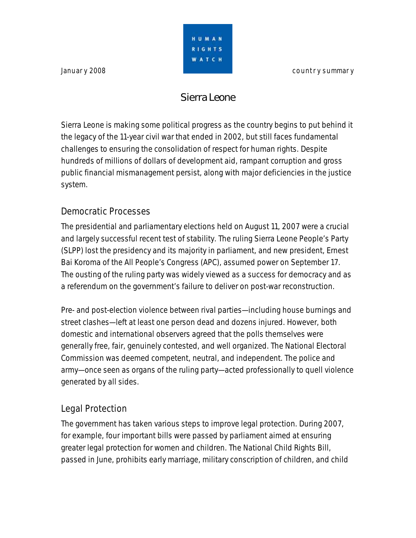**January 2008 country summary** 



### **Sierra Leone**

Sierra Leone is making some political progress as the country begins to put behind it the legacy of the 11-year civil war that ended in 2002, but still faces fundamental challenges to ensuring the consolidation of respect for human rights. Despite hundreds of millions of dollars of development aid, rampant corruption and gross public financial mismanagement persist, along with major deficiencies in the justice system.

#### Democratic Processes

The presidential and parliamentary elections held on August 11, 2007 were a crucial and largely successful recent test of stability. The ruling Sierra Leone People's Party (SLPP) lost the presidency and its majority in parliament, and new president, Ernest Bai Koroma of the All People's Congress (APC), assumed power on September 17. The ousting of the ruling party was widely viewed as a success for democracy and as a referendum on the government's failure to deliver on post-war reconstruction.

Pre- and post-election violence between rival parties—including house burnings and street clashes—left at least one person dead and dozens injured. However, both domestic and international observers agreed that the polls themselves were generally free, fair, genuinely contested, and well organized. The National Electoral Commission was deemed competent, neutral, and independent. The police and army—once seen as organs of the ruling party—acted professionally to quell violence generated by all sides.

# Legal Protection

The government has taken various steps to improve legal protection. During 2007, for example, four important bills were passed by parliament aimed at ensuring greater legal protection for women and children. The National Child Rights Bill, passed in June, prohibits early marriage, military conscription of children, and child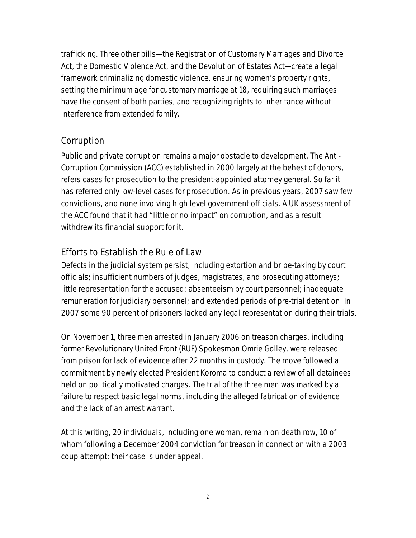trafficking. Three other bills—the Registration of Customary Marriages and Divorce Act, the Domestic Violence Act, and the Devolution of Estates Act—create a legal framework criminalizing domestic violence, ensuring women's property rights, setting the minimum age for customary marriage at 18, requiring such marriages have the consent of both parties, and recognizing rights to inheritance without interference from extended family.

### Corruption

Public and private corruption remains a major obstacle to development. The Anti-Corruption Commission (ACC) established in 2000 largely at the behest of donors, refers cases for prosecution to the president-appointed attorney general. So far it has referred only low-level cases for prosecution. As in previous years, 2007 saw few convictions, and none involving high level government officials. A UK assessment of the ACC found that it had "little or no impact" on corruption, and as a result withdrew its financial support for it.

# Efforts to Establish the Rule of Law

Defects in the judicial system persist, including extortion and bribe-taking by court officials; insufficient numbers of judges, magistrates, and prosecuting attorneys; little representation for the accused; absenteeism by court personnel; inadequate remuneration for judiciary personnel; and extended periods of pre-trial detention. In 2007 some 90 percent of prisoners lacked any legal representation during their trials.

On November 1, three men arrested in January 2006 on treason charges, including former Revolutionary United Front (RUF) Spokesman Omrie Golley, were released from prison for lack of evidence after 22 months in custody. The move followed a commitment by newly elected President Koroma to conduct a review of all detainees held on politically motivated charges. The trial of the three men was marked by a failure to respect basic legal norms, including the alleged fabrication of evidence and the lack of an arrest warrant.

At this writing, 20 individuals, including one woman, remain on death row, 10 of whom following a December 2004 conviction for treason in connection with a 2003 coup attempt; their case is under appeal.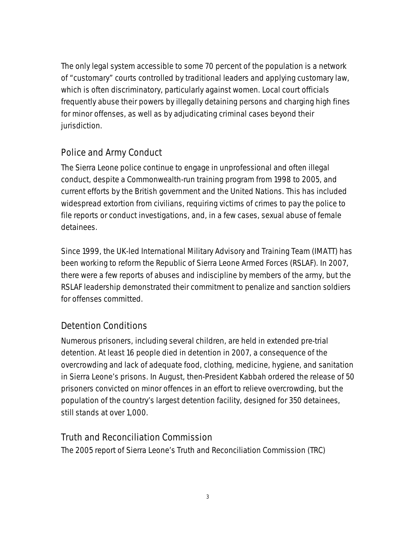The only legal system accessible to some 70 percent of the population is a network of "customary" courts controlled by traditional leaders and applying customary law, which is often discriminatory, particularly against women. Local court officials frequently abuse their powers by illegally detaining persons and charging high fines for minor offenses, as well as by adjudicating criminal cases beyond their jurisdiction.

### Police and Army Conduct

The Sierra Leone police continue to engage in unprofessional and often illegal conduct, despite a Commonwealth-run training program from 1998 to 2005, and current efforts by the British government and the United Nations. This has included widespread extortion from civilians, requiring victims of crimes to pay the police to file reports or conduct investigations, and, in a few cases, sexual abuse of female detainees.

Since 1999, the UK-led International Military Advisory and Training Team (IMATT) has been working to reform the Republic of Sierra Leone Armed Forces (RSLAF). In 2007, there were a few reports of abuses and indiscipline by members of the army, but the RSLAF leadership demonstrated their commitment to penalize and sanction soldiers for offenses committed.

### Detention Conditions

Numerous prisoners, including several children, are held in extended pre-trial detention. At least 16 people died in detention in 2007, a consequence of the overcrowding and lack of adequate food, clothing, medicine, hygiene, and sanitation in Sierra Leone's prisons. In August, then-President Kabbah ordered the release of 50 prisoners convicted on minor offences in an effort to relieve overcrowding, but the population of the country's largest detention facility, designed for 350 detainees, still stands at over 1,000.

#### Truth and Reconciliation Commission

The 2005 report of Sierra Leone's Truth and Reconciliation Commission (TRC)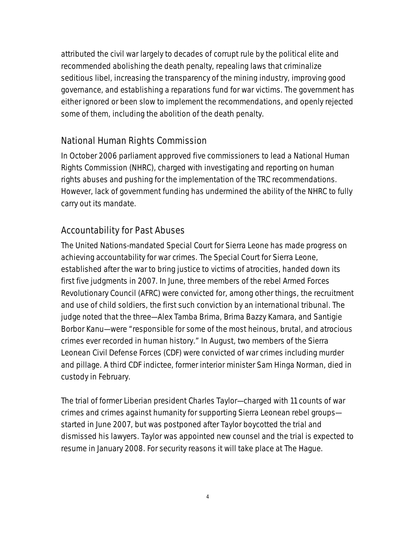attributed the civil war largely to decades of corrupt rule by the political elite and recommended abolishing the death penalty, repealing laws that criminalize seditious libel, increasing the transparency of the mining industry, improving good governance, and establishing a reparations fund for war victims. The government has either ignored or been slow to implement the recommendations, and openly rejected some of them, including the abolition of the death penalty.

# National Human Rights Commission

In October 2006 parliament approved five commissioners to lead a National Human Rights Commission (NHRC), charged with investigating and reporting on human rights abuses and pushing for the implementation of the TRC recommendations. However, lack of government funding has undermined the ability of the NHRC to fully carry out its mandate.

### Accountability for Past Abuses

The United Nations-mandated Special Court for Sierra Leone has made progress on achieving accountability for war crimes. The Special Court for Sierra Leone, established after the war to bring justice to victims of atrocities, handed down its first five judgments in 2007. In June, three members of the rebel Armed Forces Revolutionary Council (AFRC) were convicted for, among other things, the recruitment and use of child soldiers, the first such conviction by an international tribunal. The judge noted that the three—Alex Tamba Brima, Brima Bazzy Kamara, and Santigie Borbor Kanu—were "responsible for some of the most heinous, brutal, and atrocious crimes ever recorded in human history." In August, two members of the Sierra Leonean Civil Defense Forces (CDF) were convicted of war crimes including murder and pillage. A third CDF indictee, former interior minister Sam Hinga Norman, died in custody in February.

The trial of former Liberian president Charles Taylor—charged with 11 counts of war crimes and crimes against humanity for supporting Sierra Leonean rebel groups started in June 2007, but was postponed after Taylor boycotted the trial and dismissed his lawyers. Taylor was appointed new counsel and the trial is expected to resume in January 2008. For security reasons it will take place at The Hague.